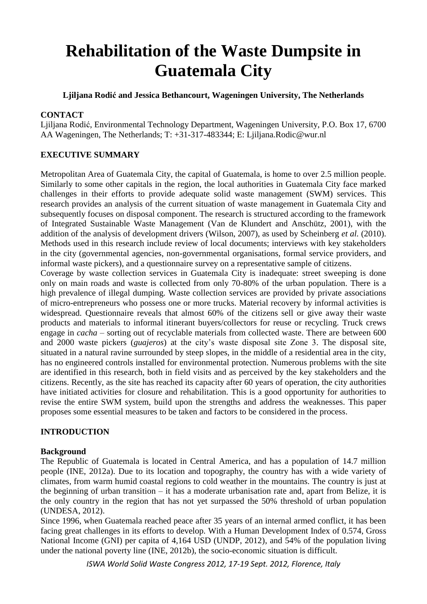# **Rehabilitation of the Waste Dumpsite in Guatemala City**

**Ljiljana Rodić and Jessica Bethancourt, Wageningen University, The Netherlands**

## **CONTACT**

Ljiljana Rodić, Environmental Technology Department, Wageningen University, P.O. Box 17, 6700 AA Wageningen, The Netherlands; T: +31-317-483344; E: Ljiljana.Rodic@wur.nl

# **EXECUTIVE SUMMARY**

Metropolitan Area of Guatemala City, the capital of Guatemala, is home to over 2.5 million people. Similarly to some other capitals in the region, the local authorities in Guatemala City face marked challenges in their efforts to provide adequate solid waste management (SWM) services. This research provides an analysis of the current situation of waste management in Guatemala City and subsequently focuses on disposal component. The research is structured according to the framework of Integrated Sustainable Waste Management (Van de Klundert and Anschütz, 2001), with the addition of the analysis of development drivers (Wilson, 2007), as used by Scheinberg *et al.* (2010). Methods used in this research include review of local documents; interviews with key stakeholders in the city (governmental agencies, non-governmental organisations, formal service providers, and informal waste pickers), and a questionnaire survey on a representative sample of citizens.

Coverage by waste collection services in Guatemala City is inadequate: street sweeping is done only on main roads and waste is collected from only 70-80% of the urban population. There is a high prevalence of illegal dumping. Waste collection services are provided by private associations of micro-entrepreneurs who possess one or more trucks. Material recovery by informal activities is widespread. Questionnaire reveals that almost 60% of the citizens sell or give away their waste products and materials to informal itinerant buyers/collectors for reuse or recycling. Truck crews engage in *cacha* – sorting out of recyclable materials from collected waste. There are between 600 and 2000 waste pickers (*guajeros*) at the city's waste disposal site Zone 3. The disposal site, situated in a natural ravine surrounded by steep slopes, in the middle of a residential area in the city, has no engineered controls installed for environmental protection. Numerous problems with the site are identified in this research, both in field visits and as perceived by the key stakeholders and the citizens. Recently, as the site has reached its capacity after 60 years of operation, the city authorities have initiated activities for closure and rehabilitation. This is a good opportunity for authorities to revise the entire SWM system, build upon the strengths and address the weaknesses. This paper proposes some essential measures to be taken and factors to be considered in the process.

# **INTRODUCTION**

#### **Background**

The Republic of Guatemala is located in Central America, and has a population of 14.7 million people (INE, 2012a). Due to its location and topography, the country has with a wide variety of climates, from warm humid coastal regions to cold weather in the mountains. The country is just at the beginning of urban transition – it has a moderate urbanisation rate and, apart from Belize, it is the only country in the region that has not yet surpassed the 50% threshold of urban population (UNDESA, 2012).

Since 1996, when Guatemala reached peace after 35 years of an internal armed conflict, it has been facing great challenges in its efforts to develop. With a Human Development Index of 0.574, Gross National Income (GNI) per capita of 4,164 USD (UNDP, 2012), and 54% of the population living under the national poverty line (INE, 2012b), the socio-economic situation is difficult.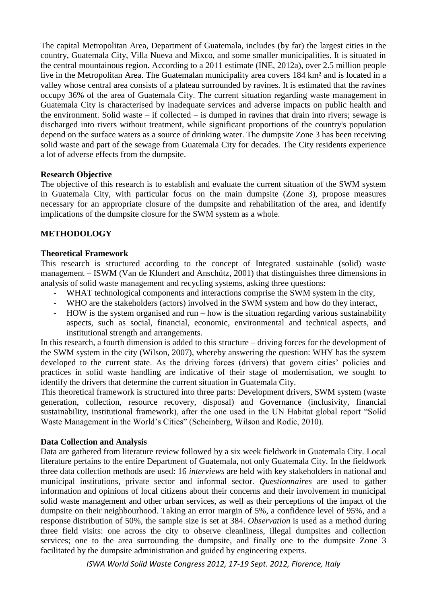The capital Metropolitan Area, Department of Guatemala, includes (by far) the largest cities in the country, Guatemala City, Villa Nueva and Mixco, and some smaller municipalities. It is situated in the central mountainous region. According to a 2011 estimate (INE, 2012a), over 2.5 million people live in the Metropolitan Area. The Guatemalan municipality area covers 184 km² and is located in a valley whose central area consists of a plateau surrounded by ravines. It is estimated that the ravines occupy 36% of the area of Guatemala City. The current situation regarding waste management in Guatemala City is characterised by inadequate services and adverse impacts on public health and the environment. Solid waste – if collected – is dumped in ravines that drain into rivers; sewage is discharged into rivers without treatment, while significant proportions of the country's population depend on the surface waters as a source of drinking water. The dumpsite Zone 3 has been receiving solid waste and part of the sewage from Guatemala City for decades. The City residents experience a lot of adverse effects from the dumpsite.

## **Research Objective**

The objective of this research is to establish and evaluate the current situation of the SWM system in Guatemala City, with particular focus on the main dumpsite (Zone 3), propose measures necessary for an appropriate closure of the dumpsite and rehabilitation of the area, and identify implications of the dumpsite closure for the SWM system as a whole.

# **METHODOLOGY**

## **Theoretical Framework**

This research is structured according to the concept of Integrated sustainable (solid) waste management – ISWM (Van de Klundert and Anschütz, 2001) that distinguishes three dimensions in analysis of solid waste management and recycling systems, asking three questions:

- WHAT technological components and interactions comprise the SWM system in the city,
- WHO are the stakeholders (actors) involved in the SWM system and how do they interact,
- HOW is the system organised and run how is the situation regarding various sustainability aspects, such as social, financial, economic, environmental and technical aspects, and institutional strength and arrangements.

In this research, a fourth dimension is added to this structure – driving forces for the development of the SWM system in the city (Wilson, 2007), whereby answering the question: WHY has the system developed to the current state. As the driving forces (drivers) that govern cities' policies and practices in solid waste handling are indicative of their stage of modernisation, we sought to identify the drivers that determine the current situation in Guatemala City.

This theoretical framework is structured into three parts: Development drivers, SWM system (waste generation, collection, resource recovery, disposal) and Governance (inclusivity, financial sustainability, institutional framework), after the one used in the UN Habitat global report "Solid Waste Management in the World's Cities" (Scheinberg, Wilson and Rodic, 2010).

#### **Data Collection and Analysis**

Data are gathered from literature review followed by a six week fieldwork in Guatemala City. Local literature pertains to the entire Department of Guatemala, not only Guatemala City. In the fieldwork three data collection methods are used: 16 *interviews* are held with key stakeholders in national and municipal institutions, private sector and informal sector. *Questionnaires* are used to gather information and opinions of local citizens about their concerns and their involvement in municipal solid waste management and other urban services, as well as their perceptions of the impact of the dumpsite on their neighbourhood. Taking an error margin of 5%, a confidence level of 95%, and a response distribution of 50%, the sample size is set at 384. *Observation* is used as a method during three field visits: one across the city to observe cleanliness, illegal dumpsites and collection services; one to the area surrounding the dumpsite, and finally one to the dumpsite Zone 3 facilitated by the dumpsite administration and guided by engineering experts.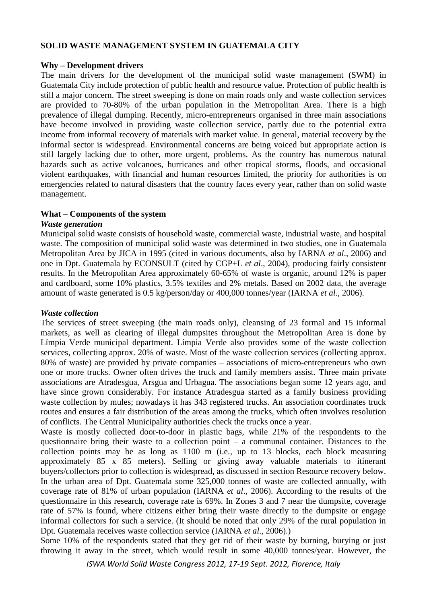## **SOLID WASTE MANAGEMENT SYSTEM IN GUATEMALA CITY**

#### **Why – Development drivers**

The main drivers for the development of the municipal solid waste management (SWM) in Guatemala City include protection of public health and resource value. Protection of public health is still a major concern. The street sweeping is done on main roads only and waste collection services are provided to 70-80% of the urban population in the Metropolitan Area. There is a high prevalence of illegal dumping. Recently, micro-entrepreneurs organised in three main associations have become involved in providing waste collection service, partly due to the potential extra income from informal recovery of materials with market value. In general, material recovery by the informal sector is widespread. Environmental concerns are being voiced but appropriate action is still largely lacking due to other, more urgent, problems. As the country has numerous natural hazards such as active volcanoes, hurricanes and other tropical storms, floods, and occasional violent earthquakes, with financial and human resources limited, the priority for authorities is on emergencies related to natural disasters that the country faces every year, rather than on solid waste management.

#### **What – Components of the system**

#### *Waste generation*

Municipal solid waste consists of household waste, commercial waste, industrial waste, and hospital waste. The composition of municipal solid waste was determined in two studies, one in Guatemala Metropolitan Area by JICA in 1995 (cited in various documents, also by IARNA *et al*., 2006) and one in Dpt. Guatemala by ECONSULT (cited by CGP+L *et al*., 2004), producing fairly consistent results. In the Metropolitan Area approximately 60-65% of waste is organic, around 12% is paper and cardboard, some 10% plastics, 3.5% textiles and 2% metals. Based on 2002 data, the average amount of waste generated is 0.5 kg/person/day or 400,000 tonnes/year (IARNA *et al*., 2006).

#### *Waste collection*

The services of street sweeping (the main roads only), cleansing of 23 formal and 15 informal markets, as well as clearing of illegal dumpsites throughout the Metropolitan Area is done by Límpia Verde municipal department. Límpia Verde also provides some of the waste collection services, collecting approx. 20% of waste. Most of the waste collection services (collecting approx. 80% of waste) are provided by private companies – associations of micro-entrepreneurs who own one or more trucks. Owner often drives the truck and family members assist. Three main private associations are Atradesgua, Arsgua and Urbagua. The associations began some 12 years ago, and have since grown considerably. For instance Atradesgua started as a family business providing waste collection by mules; nowadays it has 343 registered trucks. An association coordinates truck routes and ensures a fair distribution of the areas among the trucks, which often involves resolution of conflicts. The Central Municipality authorities check the trucks once a year.

Waste is mostly collected door-to-door in plastic bags, while 21% of the respondents to the questionnaire bring their waste to a collection point – a communal container. Distances to the collection points may be as long as 1100 m (i.e., up to 13 blocks, each block measuring approximately 85 x 85 meters). Selling or giving away valuable materials to itinerant buyers/collectors prior to collection is widespread, as discussed in section Resource recovery below. In the urban area of Dpt. Guatemala some 325,000 tonnes of waste are collected annually, with coverage rate of 81% of urban population (IARNA *et al*., 2006). According to the results of the questionnaire in this research, coverage rate is 69%. In Zones 3 and 7 near the dumpsite, coverage rate of 57% is found, where citizens either bring their waste directly to the dumpsite or engage informal collectors for such a service. (It should be noted that only 29% of the rural population in Dpt. Guatemala receives waste collection service (IARNA *et al*., 2006).)

Some 10% of the respondents stated that they get rid of their waste by burning, burying or just throwing it away in the street, which would result in some 40,000 tonnes/year. However, the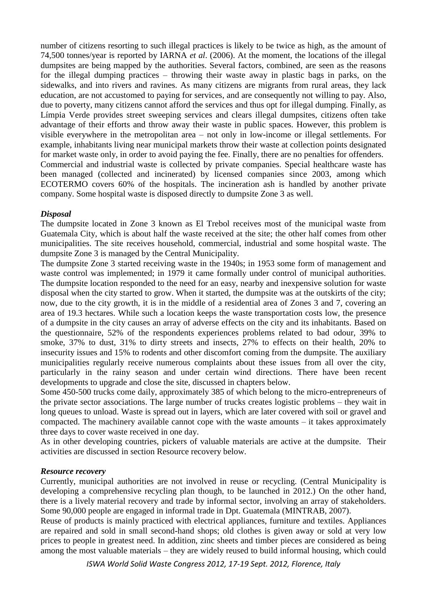number of citizens resorting to such illegal practices is likely to be twice as high, as the amount of 74,500 tonnes/year is reported by IARNA *et al*. (2006). At the moment, the locations of the illegal dumpsites are being mapped by the authorities. Several factors, combined, are seen as the reasons for the illegal dumping practices – throwing their waste away in plastic bags in parks, on the sidewalks, and into rivers and ravines. As many citizens are migrants from rural areas, they lack education, are not accustomed to paying for services, and are consequently not willing to pay. Also, due to poverty, many citizens cannot afford the services and thus opt for illegal dumping. Finally, as Límpia Verde provides street sweeping services and clears illegal dumpsites, citizens often take advantage of their efforts and throw away their waste in public spaces. However, this problem is visible everywhere in the metropolitan area – not only in low-income or illegal settlements. For example, inhabitants living near municipal markets throw their waste at collection points designated for market waste only, in order to avoid paying the fee. Finally, there are no penalties for offenders. Commercial and industrial waste is collected by private companies. Special healthcare waste has been managed (collected and incinerated) by licensed companies since 2003, among which ECOTERMO covers 60% of the hospitals. The incineration ash is handled by another private company. Some hospital waste is disposed directly to dumpsite Zone 3 as well.

## *Disposal*

The dumpsite located in Zone 3 known as El Trebol receives most of the municipal waste from Guatemala City, which is about half the waste received at the site; the other half comes from other municipalities. The site receives household, commercial, industrial and some hospital waste. The dumpsite Zone 3 is managed by the Central Municipality.

The dumpsite Zone 3 started receiving waste in the 1940s; in 1953 some form of management and waste control was implemented; in 1979 it came formally under control of municipal authorities. The dumpsite location responded to the need for an easy, nearby and inexpensive solution for waste disposal when the city started to grow. When it started, the dumpsite was at the outskirts of the city; now, due to the city growth, it is in the middle of a residential area of Zones 3 and 7, covering an area of 19.3 hectares. While such a location keeps the waste transportation costs low, the presence of a dumpsite in the city causes an array of adverse effects on the city and its inhabitants. Based on the questionnaire, 52% of the respondents experiences problems related to bad odour, 39% to smoke, 37% to dust, 31% to dirty streets and insects, 27% to effects on their health, 20% to insecurity issues and 15% to rodents and other discomfort coming from the dumpsite. The auxiliary municipalities regularly receive numerous complaints about these issues from all over the city, particularly in the rainy season and under certain wind directions. There have been recent developments to upgrade and close the site, discussed in chapters below.

Some 450-500 trucks come daily, approximately 385 of which belong to the micro-entrepreneurs of the private sector associations. The large number of trucks creates logistic problems – they wait in long queues to unload. Waste is spread out in layers, which are later covered with soil or gravel and compacted. The machinery available cannot cope with the waste amounts – it takes approximately three days to cover waste received in one day.

As in other developing countries, pickers of valuable materials are active at the dumpsite. Their activities are discussed in section Resource recovery below.

#### *Resource recovery*

Currently, municipal authorities are not involved in reuse or recycling. (Central Municipality is developing a comprehensive recycling plan though, to be launched in 2012.) On the other hand, there is a lively material recovery and trade by informal sector, involving an array of stakeholders. Some 90,000 people are engaged in informal trade in Dpt. Guatemala (MINTRAB, 2007).

Reuse of products is mainly practiced with electrical appliances, furniture and textiles. Appliances are repaired and sold in small second-hand shops; old clothes is given away or sold at very low prices to people in greatest need. In addition, zinc sheets and timber pieces are considered as being among the most valuable materials – they are widely reused to build informal housing, which could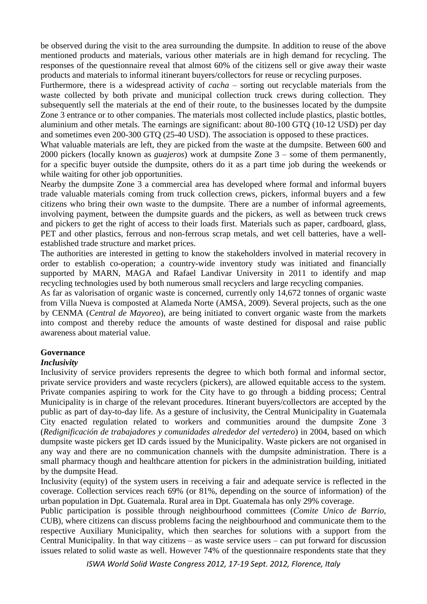be observed during the visit to the area surrounding the dumpsite. In addition to reuse of the above mentioned products and materials, various other materials are in high demand for recycling. The responses of the questionnaire reveal that almost 60% of the citizens sell or give away their waste products and materials to informal itinerant buyers/collectors for reuse or recycling purposes.

Furthermore, there is a widespread activity of *cacha* – sorting out recyclable materials from the waste collected by both private and municipal collection truck crews during collection. They subsequently sell the materials at the end of their route, to the businesses located by the dumpsite Zone 3 entrance or to other companies. The materials most collected include plastics, plastic bottles, aluminium and other metals. The earnings are significant: about 80-100 GTQ (10-12 USD) per day and sometimes even 200-300 GTQ (25-40 USD). The association is opposed to these practices.

What valuable materials are left, they are picked from the waste at the dumpsite. Between 600 and 2000 pickers (locally known as *guajeros*) work at dumpsite Zone 3 – some of them permanently, for a specific buyer outside the dumpsite, others do it as a part time job during the weekends or while waiting for other job opportunities.

Nearby the dumpsite Zone 3 a commercial area has developed where formal and informal buyers trade valuable materials coming from truck collection crews, pickers, informal buyers and a few citizens who bring their own waste to the dumpsite. There are a number of informal agreements, involving payment, between the dumpsite guards and the pickers, as well as between truck crews and pickers to get the right of access to their loads first. Materials such as paper, cardboard, glass, PET and other plastics, ferrous and non-ferrous scrap metals, and wet cell batteries, have a wellestablished trade structure and market prices.

The authorities are interested in getting to know the stakeholders involved in material recovery in order to establish co-operation; a country-wide inventory study was initiated and financially supported by MARN, MAGA and Rafael Landivar University in 2011 to identify and map recycling technologies used by both numerous small recyclers and large recycling companies.

As far as valorisation of organic waste is concerned, currently only 14,672 tonnes of organic waste from Villa Nueva is composted at Alameda Norte (AMSA, 2009). Several projects, such as the one by CENMA (*Central de Mayoreo*), are being initiated to convert organic waste from the markets into compost and thereby reduce the amounts of waste destined for disposal and raise public awareness about material value.

# **Governance**

# *Inclusivity*

Inclusivity of service providers represents the degree to which both formal and informal sector, private service providers and waste recyclers (pickers), are allowed equitable access to the system. Private companies aspiring to work for the City have to go through a bidding process; Central Municipality is in charge of the relevant procedures. Itinerant buyers/collectors are accepted by the public as part of day-to-day life. As a gesture of inclusivity, the Central Municipality in Guatemala City enacted regulation related to workers and communities around the dumpsite Zone 3 (*Redignificación de trabajadores y comunidades alrededor del vertedero*) in 2004, based on which dumpsite waste pickers get ID cards issued by the Municipality. Waste pickers are not organised in any way and there are no communication channels with the dumpsite administration. There is a small pharmacy though and healthcare attention for pickers in the administration building, initiated by the dumpsite Head.

Inclusivity (equity) of the system users in receiving a fair and adequate service is reflected in the coverage. Collection services reach 69% (or 81%, depending on the source of information) of the urban population in Dpt. Guatemala. Rural area in Dpt. Guatemala has only 29% coverage.

Public participation is possible through neighbourhood committees (*Comite Unico de Barrio,* CUB), where citizens can discuss problems facing the neighbourhood and communicate them to the respective Auxiliary Municipality, which then searches for solutions with a support from the Central Municipality. In that way citizens – as waste service users – can put forward for discussion issues related to solid waste as well. However 74% of the questionnaire respondents state that they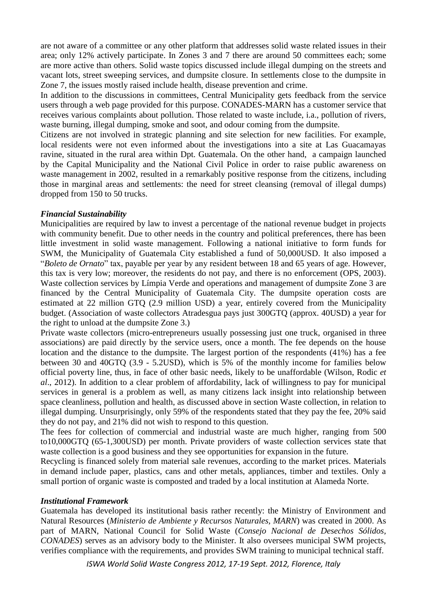are not aware of a committee or any other platform that addresses solid waste related issues in their area; only 12% actively participate. In Zones 3 and 7 there are around 50 committees each; some are more active than others. Solid waste topics discussed include illegal dumping on the streets and vacant lots, street sweeping services, and dumpsite closure. In settlements close to the dumpsite in Zone 7, the issues mostly raised include health, disease prevention and crime.

In addition to the discussions in committees, Central Municipality gets feedback from the service users through a web page provided for this purpose. CONADES-MARN has a customer service that receives various complaints about pollution. Those related to waste include, i.a., pollution of rivers, waste burning, illegal dumping, smoke and soot, and odour coming from the dumpsite.

Citizens are not involved in strategic planning and site selection for new facilities. For example, local residents were not even informed about the investigations into a site at Las Guacamayas ravine, situated in the rural area within Dpt. Guatemala. On the other hand, a campaign launched by the Capital Municipality and the National Civil Police in order to raise public awareness on waste management in 2002, resulted in a remarkably positive response from the citizens, including those in marginal areas and settlements: the need for street cleansing (removal of illegal dumps) dropped from 150 to 50 trucks.

## *Financial Sustainability*

Municipalities are required by law to invest a percentage of the national revenue budget in projects with community benefit. Due to other needs in the country and political preferences, there has been little investment in solid waste management. Following a national initiative to form funds for SWM, the Municipality of Guatemala City established a fund of 50,000USD. It also imposed a "*Boleto de Ornato*" tax, payable per year by any resident between 18 and 65 years of age. However, this tax is very low; moreover, the residents do not pay, and there is no enforcement (OPS, 2003). Waste collection services by Límpia Verde and operations and management of dumpsite Zone 3 are financed by the Central Municipality of Guatemala City. The dumpsite operation costs are estimated at 22 million GTQ (2.9 million USD) a year, entirely covered from the Municipality budget. (Association of waste collectors Atradesgua pays just 300GTQ (approx. 40USD) a year for the right to unload at the dumpsite Zone 3.)

Private waste collectors (micro-entrepreneurs usually possessing just one truck, organised in three associations) are paid directly by the service users, once a month. The fee depends on the house location and the distance to the dumpsite. The largest portion of the respondents (41%) has a fee between 30 and 40GTQ (3.9 - 5.2USD), which is 5% of the monthly income for families below official poverty line, thus, in face of other basic needs, likely to be unaffordable (Wilson, Rodic *et al*., 2012). In addition to a clear problem of affordability, lack of willingness to pay for municipal services in general is a problem as well, as many citizens lack insight into relationship between space cleanliness, pollution and health, as discussed above in section Waste collection, in relation to illegal dumping. Unsurprisingly, only 59% of the respondents stated that they pay the fee, 20% said they do not pay, and 21% did not wish to respond to this question.

The fees for collection of commercial and industrial waste are much higher, ranging from 500 to10,000GTQ (65-1,300USD) per month. Private providers of waste collection services state that waste collection is a good business and they see opportunities for expansion in the future.

Recycling is financed solely from material sale revenues, according to the market prices. Materials in demand include paper, plastics, cans and other metals, appliances, timber and textiles. Only a small portion of organic waste is composted and traded by a local institution at Alameda Norte.

#### *Institutional Framework*

Guatemala has developed its institutional basis rather recently: the Ministry of Environment and Natural Resources (*Ministerio de Ambiente y Recursos Naturales, MARN*) was created in 2000. As part of MARN, National Council for Solid Waste (*Consejo Nacional de Desechos Sólidos, CONADES*) serves as an advisory body to the Minister. It also oversees municipal SWM projects, verifies compliance with the requirements, and provides SWM training to municipal technical staff.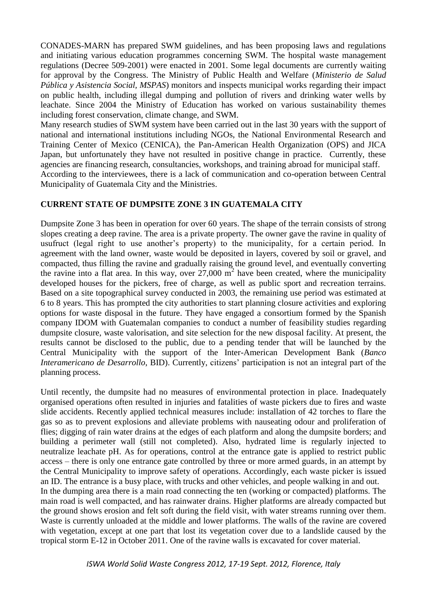CONADES-MARN has prepared SWM guidelines, and has been proposing laws and regulations and initiating various education programmes concerning SWM. The hospital waste management regulations (Decree 509-2001) were enacted in 2001. Some legal documents are currently waiting for approval by the Congress. The Ministry of Public Health and Welfare (*Ministerio de Salud Pública y Asistencia Social, MSPAS*) monitors and inspects municipal works regarding their impact on public health, including illegal dumping and pollution of rivers and drinking water wells by leachate. Since 2004 the Ministry of Education has worked on various sustainability themes including forest conservation, climate change, and SWM.

Many research studies of SWM system have been carried out in the last 30 years with the support of national and international institutions including NGOs, the National Environmental Research and Training Center of Mexico (CENICA), the Pan-American Health Organization (OPS) and JICA Japan, but unfortunately they have not resulted in positive change in practice. Currently, these agencies are financing research, consultancies, workshops, and training abroad for municipal staff. According to the interviewees, there is a lack of communication and co-operation between Central

Municipality of Guatemala City and the Ministries.

## **CURRENT STATE OF DUMPSITE ZONE 3 IN GUATEMALA CITY**

Dumpsite Zone 3 has been in operation for over 60 years. The shape of the terrain consists of strong slopes creating a deep ravine. The area is a private property. The owner gave the ravine in quality of usufruct (legal right to use another's property) to the municipality, for a certain period. In agreement with the land owner, waste would be deposited in layers, covered by soil or gravel, and compacted, thus filling the ravine and gradually raising the ground level, and eventually converting the ravine into a flat area. In this way, over  $27,000 \text{ m}^2$  have been created, where the municipality developed houses for the pickers, free of charge, as well as public sport and recreation terrains. Based on a site topographical survey conducted in 2003, the remaining use period was estimated at 6 to 8 years. This has prompted the city authorities to start planning closure activities and exploring options for waste disposal in the future. They have engaged a consortium formed by the Spanish company IDOM with Guatemalan companies to conduct a number of feasibility studies regarding dumpsite closure, waste valorisation, and site selection for the new disposal facility. At present, the results cannot be disclosed to the public, due to a pending tender that will be launched by the Central Municipality with the support of the Inter-American Development Bank (*Banco Interamericano de Desarrollo*, BID). Currently, citizens' participation is not an integral part of the planning process.

Until recently, the dumpsite had no measures of environmental protection in place. Inadequately organised operations often resulted in injuries and fatalities of waste pickers due to fires and waste slide accidents. Recently applied technical measures include: installation of 42 torches to flare the gas so as to prevent explosions and alleviate problems with nauseating odour and proliferation of flies; digging of rain water drains at the edges of each platform and along the dumpsite borders; and building a perimeter wall (still not completed). Also, hydrated lime is regularly injected to neutralize leachate pH. As for operations, control at the entrance gate is applied to restrict public access – there is only one entrance gate controlled by three or more armed guards, in an attempt by the Central Municipality to improve safety of operations. Accordingly, each waste picker is issued an ID. The entrance is a busy place, with trucks and other vehicles, and people walking in and out. In the dumping area there is a main road connecting the ten (working or compacted) platforms. The main road is well compacted, and has rainwater drains. Higher platforms are already compacted but the ground shows erosion and felt soft during the field visit, with water streams running over them. Waste is currently unloaded at the middle and lower platforms. The walls of the ravine are covered with vegetation, except at one part that lost its vegetation cover due to a landslide caused by the tropical storm E-12 in October 2011. One of the ravine walls is excavated for cover material.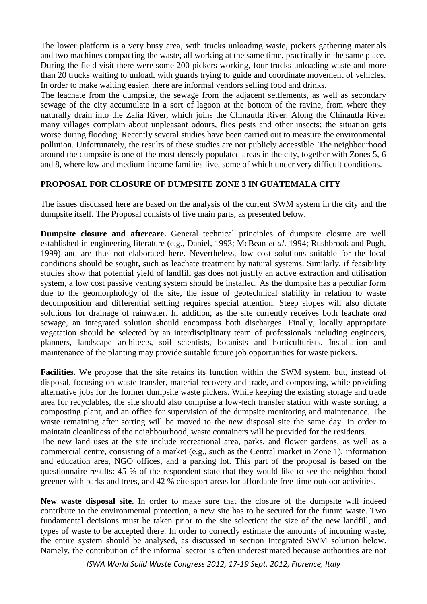The lower platform is a very busy area, with trucks unloading waste, pickers gathering materials and two machines compacting the waste, all working at the same time, practically in the same place. During the field visit there were some 200 pickers working, four trucks unloading waste and more than 20 trucks waiting to unload, with guards trying to guide and coordinate movement of vehicles. In order to make waiting easier, there are informal vendors selling food and drinks.

The leachate from the dumpsite, the sewage from the adjacent settlements, as well as secondary sewage of the city accumulate in a sort of lagoon at the bottom of the ravine, from where they naturally drain into the Zalia River, which joins the Chinautla River. Along the Chinautla River many villages complain about unpleasant odours, flies pests and other insects; the situation gets worse during flooding. Recently several studies have been carried out to measure the environmental pollution. Unfortunately, the results of these studies are not publicly accessible. The neighbourhood around the dumpsite is one of the most densely populated areas in the city, together with Zones 5, 6 and 8, where low and medium-income families live, some of which under very difficult conditions.

# **PROPOSAL FOR CLOSURE OF DUMPSITE ZONE 3 IN GUATEMALA CITY**

The issues discussed here are based on the analysis of the current SWM system in the city and the dumpsite itself. The Proposal consists of five main parts, as presented below.

**Dumpsite closure and aftercare.** General technical principles of dumpsite closure are well established in engineering literature (e.g., Daniel, 1993; McBean *et al*. 1994; Rushbrook and Pugh, 1999) and are thus not elaborated here. Nevertheless, low cost solutions suitable for the local conditions should be sought, such as leachate treatment by natural systems. Similarly, if feasibility studies show that potential yield of landfill gas does not justify an active extraction and utilisation system, a low cost passive venting system should be installed. As the dumpsite has a peculiar form due to the geomorphology of the site, the issue of geotechnical stability in relation to waste decomposition and differential settling requires special attention. Steep slopes will also dictate solutions for drainage of rainwater. In addition, as the site currently receives both leachate *and* sewage, an integrated solution should encompass both discharges. Finally, locally appropriate vegetation should be selected by an interdisciplinary team of professionals including engineers, planners, landscape architects, soil scientists, botanists and horticulturists. Installation and maintenance of the planting may provide suitable future job opportunities for waste pickers.

**Facilities.** We propose that the site retains its function within the SWM system, but, instead of disposal, focusing on waste transfer, material recovery and trade, and composting, while providing alternative jobs for the former dumpsite waste pickers. While keeping the existing storage and trade area for recyclables, the site should also comprise a low-tech transfer station with waste sorting, a composting plant, and an office for supervision of the dumpsite monitoring and maintenance. The waste remaining after sorting will be moved to the new disposal site the same day. In order to maintain cleanliness of the neighbourhood, waste containers will be provided for the residents. The new land uses at the site include recreational area, parks, and flower gardens, as well as a commercial centre, consisting of a market (e.g., such as the Central market in Zone 1), information and education area, NGO offices, and a parking lot. This part of the proposal is based on the questionnaire results: 45 % of the respondent state that they would like to see the neighbourhood greener with parks and trees, and 42 % cite sport areas for affordable free-time outdoor activities.

**New waste disposal site.** In order to make sure that the closure of the dumpsite will indeed contribute to the environmental protection, a new site has to be secured for the future waste. Two fundamental decisions must be taken prior to the site selection: the size of the new landfill, and types of waste to be accepted there. In order to correctly estimate the amounts of incoming waste, the entire system should be analysed, as discussed in section Integrated SWM solution below. Namely, the contribution of the informal sector is often underestimated because authorities are not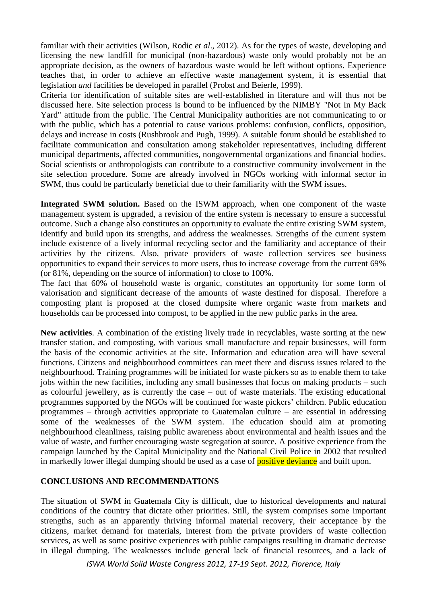familiar with their activities (Wilson, Rodic *et al*., 2012). As for the types of waste, developing and licensing the new landfill for municipal (non-hazardous) waste only would probably not be an appropriate decision, as the owners of hazardous waste would be left without options. Experience teaches that, in order to achieve an effective waste management system, it is essential that legislation *and* facilities be developed in parallel (Probst and Beierle, 1999).

Criteria for identification of suitable sites are well-established in literature and will thus not be discussed here. Site selection process is bound to be influenced by the NIMBY "Not In My Back Yard" attitude from the public. The Central Municipality authorities are not communicating to or with the public, which has a potential to cause various problems: confusion, conflicts, opposition, delays and increase in costs (Rushbrook and Pugh, 1999). A suitable forum should be established to facilitate communication and consultation among stakeholder representatives, including different municipal departments, affected communities, nongovernmental organizations and financial bodies. Social scientists or anthropologists can contribute to a constructive community involvement in the site selection procedure. Some are already involved in NGOs working with informal sector in SWM, thus could be particularly beneficial due to their familiarity with the SWM issues.

Integrated SWM solution. Based on the ISWM approach, when one component of the waste management system is upgraded, a revision of the entire system is necessary to ensure a successful outcome. Such a change also constitutes an opportunity to evaluate the entire existing SWM system, identify and build upon its strengths, and address the weaknesses. Strengths of the current system include existence of a lively informal recycling sector and the familiarity and acceptance of their activities by the citizens. Also, private providers of waste collection services see business opportunities to expand their services to more users, thus to increase coverage from the current 69% (or 81%, depending on the source of information) to close to 100%.

The fact that 60% of household waste is organic, constitutes an opportunity for some form of valorisation and significant decrease of the amounts of waste destined for disposal. Therefore a composting plant is proposed at the closed dumpsite where organic waste from markets and households can be processed into compost, to be applied in the new public parks in the area.

**New activities**. A combination of the existing lively trade in recyclables, waste sorting at the new transfer station, and composting, with various small manufacture and repair businesses, will form the basis of the economic activities at the site. Information and education area will have several functions. Citizens and neighbourhood committees can meet there and discuss issues related to the neighbourhood. Training programmes will be initiated for waste pickers so as to enable them to take jobs within the new facilities, including any small businesses that focus on making products – such as colourful jewellery, as is currently the case – out of waste materials. The existing educational programmes supported by the NGOs will be continued for waste pickers' children. Public education programmes – through activities appropriate to Guatemalan culture – are essential in addressing some of the weaknesses of the SWM system. The education should aim at promoting neighbourhood cleanliness, raising public awareness about environmental and health issues and the value of waste, and further encouraging waste segregation at source. A positive experience from the campaign launched by the Capital Municipality and the National Civil Police in 2002 that resulted in markedly lower illegal dumping should be used as a case of **positive deviance** and built upon.

# **CONCLUSIONS AND RECOMMENDATIONS**

The situation of SWM in Guatemala City is difficult, due to historical developments and natural conditions of the country that dictate other priorities. Still, the system comprises some important strengths, such as an apparently thriving informal material recovery, their acceptance by the citizens, market demand for materials, interest from the private providers of waste collection services, as well as some positive experiences with public campaigns resulting in dramatic decrease in illegal dumping. The weaknesses include general lack of financial resources, and a lack of